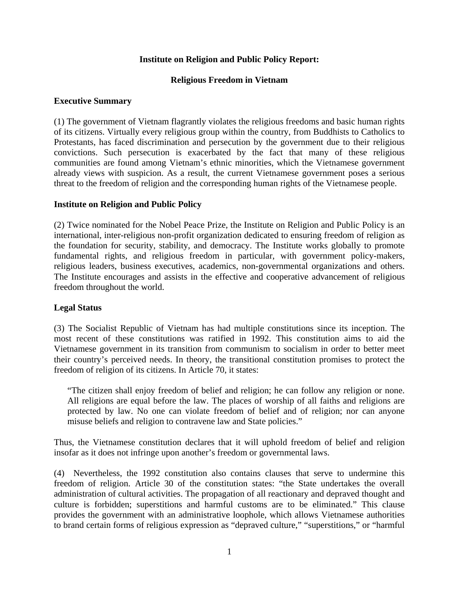### **Institute on Religion and Public Policy Report:**

#### **Religious Freedom in Vietnam**

#### **Executive Summary**

(1) The government of Vietnam flagrantly violates the religious freedoms and basic human rights of its citizens. Virtually every religious group within the country, from Buddhists to Catholics to Protestants, has faced discrimination and persecution by the government due to their religious convictions. Such persecution is exacerbated by the fact that many of these religious communities are found among Vietnam's ethnic minorities, which the Vietnamese government already views with suspicion. As a result, the current Vietnamese government poses a serious threat to the freedom of religion and the corresponding human rights of the Vietnamese people.

### **Institute on Religion and Public Policy**

(2) Twice nominated for the Nobel Peace Prize, the Institute on Religion and Public Policy is an international, inter-religious non-profit organization dedicated to ensuring freedom of religion as the foundation for security, stability, and democracy. The Institute works globally to promote fundamental rights, and religious freedom in particular, with government policy-makers, religious leaders, business executives, academics, non-governmental organizations and others. The Institute encourages and assists in the effective and cooperative advancement of religious freedom throughout the world.

## **Legal Status**

(3) The Socialist Republic of Vietnam has had multiple constitutions since its inception. The most recent of these constitutions was ratified in 1992. This constitution aims to aid the Vietnamese government in its transition from communism to socialism in order to better meet their country's perceived needs. In theory, the transitional constitution promises to protect the freedom of religion of its citizens. In Article 70, it states:

"The citizen shall enjoy freedom of belief and religion; he can follow any religion or none. All religions are equal before the law. The places of worship of all faiths and religions are protected by law. No one can violate freedom of belief and of religion; nor can anyone misuse beliefs and religion to contravene law and State policies."

Thus, the Vietnamese constitution declares that it will uphold freedom of belief and religion insofar as it does not infringe upon another's freedom or governmental laws.

(4) Nevertheless, the 1992 constitution also contains clauses that serve to undermine this freedom of religion. Article 30 of the constitution states: "the State undertakes the overall administration of cultural activities. The propagation of all reactionary and depraved thought and culture is forbidden; superstitions and harmful customs are to be eliminated." This clause provides the government with an administrative loophole, which allows Vietnamese authorities to brand certain forms of religious expression as "depraved culture," "superstitions," or "harmful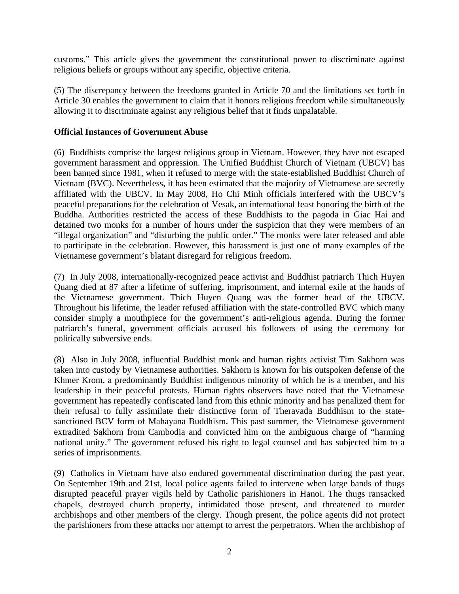customs." This article gives the government the constitutional power to discriminate against religious beliefs or groups without any specific, objective criteria.

(5) The discrepancy between the freedoms granted in Article 70 and the limitations set forth in Article 30 enables the government to claim that it honors religious freedom while simultaneously allowing it to discriminate against any religious belief that it finds unpalatable.

### **Official Instances of Government Abuse**

(6) Buddhists comprise the largest religious group in Vietnam. However, they have not escaped government harassment and oppression. The Unified Buddhist Church of Vietnam (UBCV) has been banned since 1981, when it refused to merge with the state-established Buddhist Church of Vietnam (BVC). Nevertheless, it has been estimated that the majority of Vietnamese are secretly affiliated with the UBCV. In May 2008, Ho Chi Minh officials interfered with the UBCV's peaceful preparations for the celebration of Vesak, an international feast honoring the birth of the Buddha. Authorities restricted the access of these Buddhists to the pagoda in Giac Hai and detained two monks for a number of hours under the suspicion that they were members of an "illegal organization" and "disturbing the public order." The monks were later released and able to participate in the celebration. However, this harassment is just one of many examples of the Vietnamese government's blatant disregard for religious freedom.

(7) In July 2008, internationally-recognized peace activist and Buddhist patriarch Thich Huyen Quang died at 87 after a lifetime of suffering, imprisonment, and internal exile at the hands of the Vietnamese government. Thich Huyen Quang was the former head of the UBCV. Throughout his lifetime, the leader refused affiliation with the state-controlled BVC which many consider simply a mouthpiece for the government's anti-religious agenda. During the former patriarch's funeral, government officials accused his followers of using the ceremony for politically subversive ends.

(8) Also in July 2008, influential Buddhist monk and human rights activist Tim Sakhorn was taken into custody by Vietnamese authorities. Sakhorn is known for his outspoken defense of the Khmer Krom, a predominantly Buddhist indigenous minority of which he is a member, and his leadership in their peaceful protests. Human rights observers have noted that the Vietnamese government has repeatedly confiscated land from this ethnic minority and has penalized them for their refusal to fully assimilate their distinctive form of Theravada Buddhism to the statesanctioned BCV form of Mahayana Buddhism. This past summer, the Vietnamese government extradited Sakhorn from Cambodia and convicted him on the ambiguous charge of "harming national unity." The government refused his right to legal counsel and has subjected him to a series of imprisonments.

(9) Catholics in Vietnam have also endured governmental discrimination during the past year. On September 19th and 21st, local police agents failed to intervene when large bands of thugs disrupted peaceful prayer vigils held by Catholic parishioners in Hanoi. The thugs ransacked chapels, destroyed church property, intimidated those present, and threatened to murder archbishops and other members of the clergy. Though present, the police agents did not protect the parishioners from these attacks nor attempt to arrest the perpetrators. When the archbishop of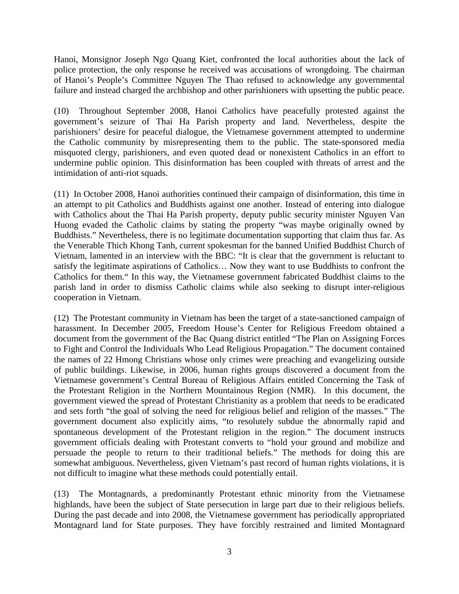Hanoi, Monsignor Joseph Ngo Quang Kiet, confronted the local authorities about the lack of police protection, the only response he received was accusations of wrongdoing. The chairman of Hanoi's People's Committee Nguyen The Thao refused to acknowledge any governmental failure and instead charged the archbishop and other parishioners with upsetting the public peace.

(10) Throughout September 2008, Hanoi Catholics have peacefully protested against the government's seizure of Thai Ha Parish property and land. Nevertheless, despite the parishioners' desire for peaceful dialogue, the Vietnamese government attempted to undermine the Catholic community by misrepresenting them to the public. The state-sponsored media misquoted clergy, parishioners, and even quoted dead or nonexistent Catholics in an effort to undermine public opinion. This disinformation has been coupled with threats of arrest and the intimidation of anti-riot squads.

(11) In October 2008, Hanoi authorities continued their campaign of disinformation, this time in an attempt to pit Catholics and Buddhists against one another. Instead of entering into dialogue with Catholics about the Thai Ha Parish property, deputy public security minister Nguyen Van Huong evaded the Catholic claims by stating the property "was maybe originally owned by Buddhists." Nevertheless, there is no legitimate documentation supporting that claim thus far. As the Venerable Thich Khong Tanh, current spokesman for the banned Unified Buddhist Church of Vietnam, lamented in an interview with the BBC: "It is clear that the government is reluctant to satisfy the legitimate aspirations of Catholics… Now they want to use Buddhists to confront the Catholics for them." In this way, the Vietnamese government fabricated Buddhist claims to the parish land in order to dismiss Catholic claims while also seeking to disrupt inter-religious cooperation in Vietnam.

(12) The Protestant community in Vietnam has been the target of a state-sanctioned campaign of harassment. In December 2005, Freedom House's Center for Religious Freedom obtained a document from the government of the Bac Quang district entitled "The Plan on Assigning Forces to Fight and Control the Individuals Who Lead Religious Propagation." The document contained the names of 22 Hmong Christians whose only crimes were preaching and evangelizing outside of public buildings. Likewise, in 2006, human rights groups discovered a document from the Vietnamese government's Central Bureau of Religious Affairs entitled Concerning the Task of the Protestant Religion in the Northern Mountainous Region (NMR). In this document, the government viewed the spread of Protestant Christianity as a problem that needs to be eradicated and sets forth "the goal of solving the need for religious belief and religion of the masses." The government document also explicitly aims, "to resolutely subdue the abnormally rapid and spontaneous development of the Protestant religion in the region." The document instructs government officials dealing with Protestant converts to "hold your ground and mobilize and persuade the people to return to their traditional beliefs." The methods for doing this are somewhat ambiguous. Nevertheless, given Vietnam's past record of human rights violations, it is not difficult to imagine what these methods could potentially entail.

(13) The Montagnards, a predominantly Protestant ethnic minority from the Vietnamese highlands, have been the subject of State persecution in large part due to their religious beliefs. During the past decade and into 2008, the Vietnamese government has periodically appropriated Montagnard land for State purposes. They have forcibly restrained and limited Montagnard